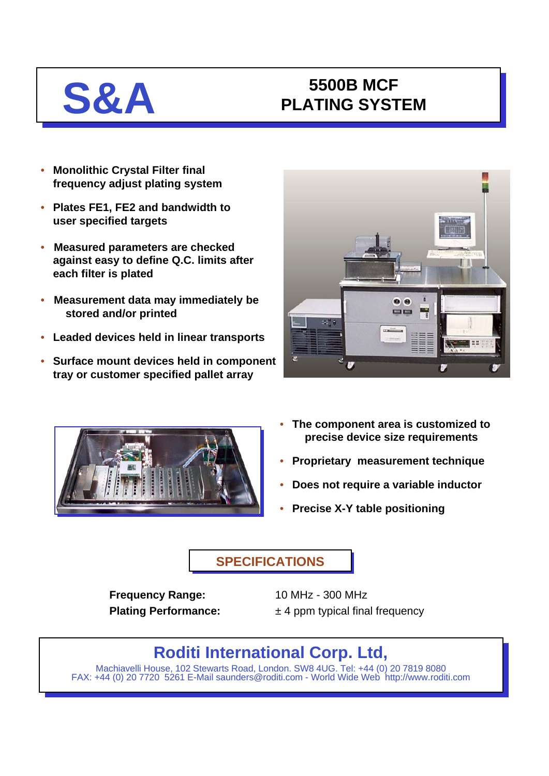# **S&A 5500B MCF**<br>PLATING SYST **PLATING SYSTEM**

- **Monolithic Crystal Filter final frequency adjust plating system**
- **Plates FE1, FE2 and bandwidth to user specified targets**
- **Measured parameters are checked against easy to define Q.C. limits after each filter is plated**
- **Measurement data may immediately be stored and/or printed**
- **Leaded devices held in linear transports**
- **Surface mount devices held in component tray or customer specified pallet array**





- **The component area is customized to precise device size requirements**
- **Proprietary measurement technique**
- **Does not require a variable inductor**
- **Precise X-Y table positioning**

### **SPECIFICATIONS**

**Frequency Range:** 10 MHz - 300 MHz

**Plating Performance:**  $\pm 4$  ppm typical final frequency

# **Roditi International Corp. Ltd,**

Machiavelli House, 102 Stewarts Road, London. SW8 4UG. Tel: +44 (0) 20 7819 8080 FAX: +44 (0) 20 7720 5261 E-Mail saunders@roditi.com - World Wide Web http://www.roditi.com